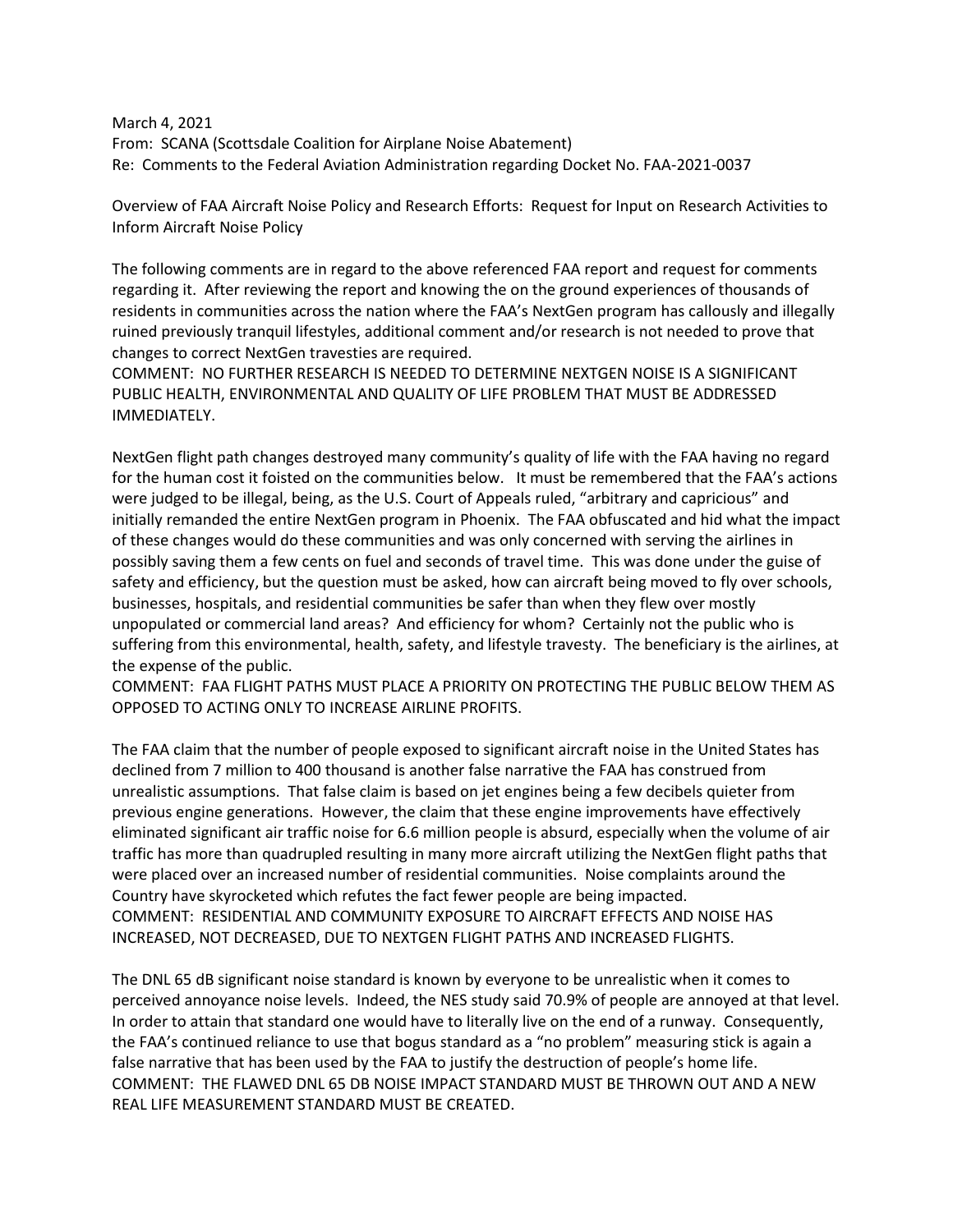March 4, 2021 From: SCANA (Scottsdale Coalition for Airplane Noise Abatement) Re: Comments to the Federal Aviation Administration regarding Docket No. FAA-2021-0037

Overview of FAA Aircraft Noise Policy and Research Efforts: Request for Input on Research Activities to Inform Aircraft Noise Policy

The following comments are in regard to the above referenced FAA report and request for comments regarding it. After reviewing the report and knowing the on the ground experiences of thousands of residents in communities across the nation where the FAA's NextGen program has callously and illegally ruined previously tranquil lifestyles, additional comment and/or research is not needed to prove that changes to correct NextGen travesties are required.

COMMENT: NO FURTHER RESEARCH IS NEEDED TO DETERMINE NEXTGEN NOISE IS A SIGNIFICANT PUBLIC HEALTH, ENVIRONMENTAL AND QUALITY OF LIFE PROBLEM THAT MUST BE ADDRESSED IMMEDIATELY.

NextGen flight path changes destroyed many community's quality of life with the FAA having no regard for the human cost it foisted on the communities below. It must be remembered that the FAA's actions were judged to be illegal, being, as the U.S. Court of Appeals ruled, "arbitrary and capricious" and initially remanded the entire NextGen program in Phoenix. The FAA obfuscated and hid what the impact of these changes would do these communities and was only concerned with serving the airlines in possibly saving them a few cents on fuel and seconds of travel time. This was done under the guise of safety and efficiency, but the question must be asked, how can aircraft being moved to fly over schools, businesses, hospitals, and residential communities be safer than when they flew over mostly unpopulated or commercial land areas? And efficiency for whom? Certainly not the public who is suffering from this environmental, health, safety, and lifestyle travesty. The beneficiary is the airlines, at the expense of the public.

COMMENT: FAA FLIGHT PATHS MUST PLACE A PRIORITY ON PROTECTING THE PUBLIC BELOW THEM AS OPPOSED TO ACTING ONLY TO INCREASE AIRLINE PROFITS.

The FAA claim that the number of people exposed to significant aircraft noise in the United States has declined from 7 million to 400 thousand is another false narrative the FAA has construed from unrealistic assumptions. That false claim is based on jet engines being a few decibels quieter from previous engine generations. However, the claim that these engine improvements have effectively eliminated significant air traffic noise for 6.6 million people is absurd, especially when the volume of air traffic has more than quadrupled resulting in many more aircraft utilizing the NextGen flight paths that were placed over an increased number of residential communities. Noise complaints around the Country have skyrocketed which refutes the fact fewer people are being impacted. COMMENT: RESIDENTIAL AND COMMUNITY EXPOSURE TO AIRCRAFT EFFECTS AND NOISE HAS INCREASED, NOT DECREASED, DUE TO NEXTGEN FLIGHT PATHS AND INCREASED FLIGHTS.

The DNL 65 dB significant noise standard is known by everyone to be unrealistic when it comes to perceived annoyance noise levels. Indeed, the NES study said 70.9% of people are annoyed at that level. In order to attain that standard one would have to literally live on the end of a runway. Consequently, the FAA's continued reliance to use that bogus standard as a "no problem" measuring stick is again a false narrative that has been used by the FAA to justify the destruction of people's home life. COMMENT: THE FLAWED DNL 65 DB NOISE IMPACT STANDARD MUST BE THROWN OUT AND A NEW REAL LIFE MEASUREMENT STANDARD MUST BE CREATED.